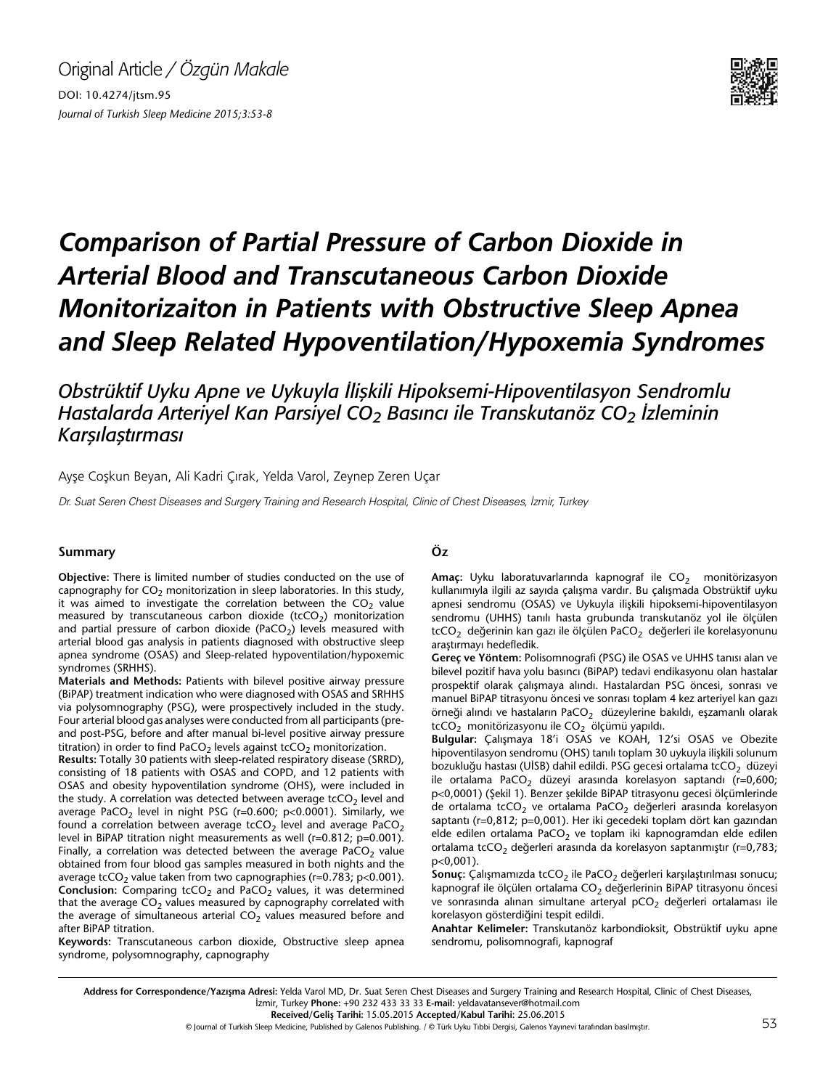

# *Comparison of Partial Pressure of Carbon Dioxide in Arterial Blood and Transcutaneous Carbon Dioxide Monitorizaiton in Patients with Obstructive Sleep Apnea and Sleep Related Hypoventilation/Hypoxemia Syndromes*

*Obstrüktif Uyku Apne ve Uykuyla İlişkili Hipoksemi-Hipoventilasyon Sendromlu Hastalarda Arteriyel Kan Parsiyel CO2 Basıncı ile Transkutanöz CO2 İzleminin Karşılaştırması*

Ayşe Coşkun Beyan, Ali Kadri Çırak, Yelda Varol, Zeynep Zeren Uçar

Dr. Suat Seren Chest Diseases and Surgery Training and Research Hospital, Clinic of Chest Diseases, İzmir, Turkey

#### **Summary Öz**

**Objective:** There is limited number of studies conducted on the use of capnography for  $CO<sub>2</sub>$  monitorization in sleep laboratories. In this study, it was aimed to investigate the correlation between the  $CO<sub>2</sub>$  value measured by transcutaneous carbon dioxide (tcCO<sub>2</sub>) monitorization and partial pressure of carbon dioxide (PaCO<sub>2</sub>) levels measured with arterial blood gas analysis in patients diagnosed with obstructive sleep apnea syndrome (OSAS) and Sleep-related hypoventilation/hypoxemic syndromes (SRHHS).

**Materials and Methods:** Patients with bilevel positive airway pressure (BiPAP) treatment indication who were diagnosed with OSAS and SRHHS via polysomnography (PSG), were prospectively included in the study. Four arterial blood gas analyses were conducted from all participants (preand post-PSG, before and after manual bi-level positive airway pressure titration) in order to find PaCO<sub>2</sub> levels against tcCO<sub>2</sub> monitorization.

**Results:** Totally 30 patients with sleep-related respiratory disease (SRRD), consisting of 18 patients with OSAS and COPD, and 12 patients with OSAS and obesity hypoventilation syndrome (OHS), were included in the study. A correlation was detected between average tcCO<sub>2</sub> level and average PaCO<sub>2</sub> level in night PSG (r=0.600; p<0.0001). Similarly, we found a correlation between average tcCO<sub>2</sub> level and average PaCO<sub>2</sub> level in BiPAP titration night measurements as well (r=0.812; p=0.001). Finally, a correlation was detected between the average PaCO<sub>2</sub> value obtained from four blood gas samples measured in both nights and the average tcCO<sub>2</sub> value taken from two capnographies (r=0.783; p<0.001). **Conclusion:** Comparing tcCO<sub>2</sub> and PaCO<sub>2</sub> values, it was determined that the average  $CO<sub>2</sub>$  values measured by capnography correlated with the average of simultaneous arterial  $CO<sub>2</sub>$  values measured before and after BiPAP titration.

**Keywords:** Transcutaneous carbon dioxide, Obstructive sleep apnea syndrome, polysomnography, capnography

Amaç: Uyku laboratuvarlarında kapnograf ile CO<sub>2</sub> monitörizasyon kullanımıyla ilgili az sayıda çalışma vardır. Bu çalışmada Obstrüktif uyku apnesi sendromu (OSAS) ve Uykuyla ilişkili hipoksemi-hipoventilasyon sendromu (UHHS) tanılı hasta grubunda transkutanöz yol ile ölçülen  $tcCO<sub>2</sub>$  değerinin kan gazı ile ölçülen PaCO<sub>2</sub> değerleri ile korelasyonunu araştırmayı hedefledik.

**Gereç ve Yöntem:** Polisomnografi (PSG) ile OSAS ve UHHS tanısı alan ve bilevel pozitif hava yolu basıncı (BiPAP) tedavi endikasyonu olan hastalar prospektif olarak çalışmaya alındı. Hastalardan PSG öncesi, sonrası ve manuel BiPAP titrasyonu öncesi ve sonrası toplam 4 kez arteriyel kan gazı örneği alındı ve hastaların PaCO<sub>2</sub> düzeylerine bakıldı, eşzamanlı olarak tcCO<sub>2</sub> monitörizasyonu ile CO<sub>2</sub> ölçümü yapıldı.

**Bulgular:** Çalışmaya 18'i OSAS ve KOAH, 12'si OSAS ve Obezite hipoventilasyon sendromu (OHS) tanılı toplam 30 uykuyla ilişkili solunum bozukluğu hastası (UİSB) dahil edildi. PSG gecesi ortalama tcCO<sub>2</sub> düzeyi ile ortalama PaCO<sub>2</sub> düzeyi arasında korelasyon saptandı (r=0,600; p<0,0001) (Şekil 1). Benzer şekilde BiPAP titrasyonu gecesi ölçümlerinde de ortalama tcCO<sub>2</sub> ve ortalama PaCO<sub>2</sub> değerleri arasında korelasyon saptantı (r=0,812; p=0,001). Her iki gecedeki toplam dört kan gazından elde edilen ortalama PaCO<sub>2</sub> ve toplam iki kapnogramdan elde edilen ortalama tcCO<sub>2</sub> değerleri arasında da korelasyon saptanmıştır (r=0,783; p<0,001).

Sonuç: Çalışmamızda tcCO<sub>2</sub> ile PaCO<sub>2</sub> değerleri karşılaştırılması sonucu; kapnograf ile ölçülen ortalama  $CO<sub>2</sub>$  değerlerinin BiPAP titrasyonu öncesi ve sonrasında alınan simultane arteryal  $pCO<sub>2</sub>$  değerleri ortalaması ile korelasyon gösterdiğini tespit edildi.

**Anahtar Kelimeler:** Transkutanöz karbondioksit, Obstrüktif uyku apne sendromu, polisomnografi, kapnograf

Address for Correspondence/Yazışma Adresi: Yelda Varol MD, Dr. Suat Seren Chest Diseases and Surgery Training and Research Hospital, Clinic of Chest Diseases, İzmir, Turkey **Phone:** +90 232 433 33 33 **E-mail:** yeldavatansever@hotmail.com

**Received/Geliş Tarihi:** 15.05.2015 **Accepted/Kabul Tarihi:** 25.06.2015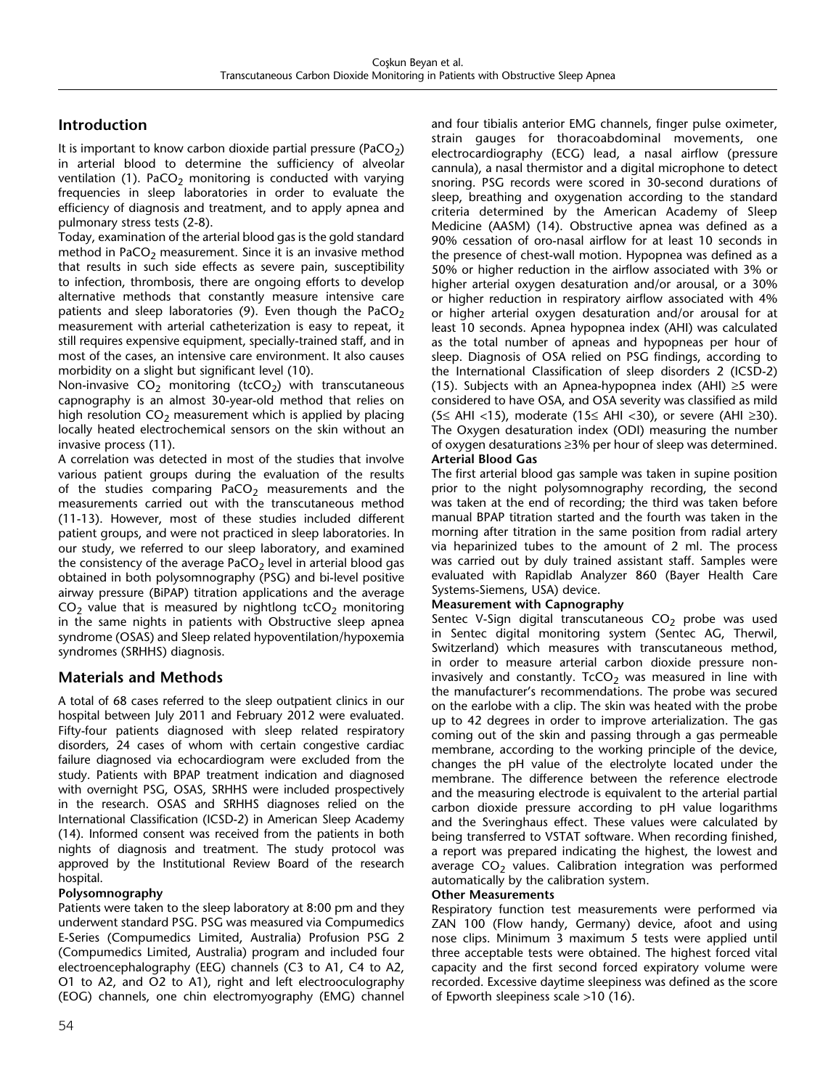# **Introduction**

It is important to know carbon dioxide partial pressure (PaCO<sub>2</sub>) in arterial blood to determine the sufficiency of alveolar ventilation (1). PaCO<sub>2</sub> monitoring is conducted with varying frequencies in sleep laboratories in order to evaluate the efficiency of diagnosis and treatment, and to apply apnea and pulmonary stress tests (2-8).

Today, examination of the arterial blood gas is the gold standard method in PaCO<sub>2</sub> measurement. Since it is an invasive method that results in such side effects as severe pain, susceptibility to infection, thrombosis, there are ongoing efforts to develop alternative methods that constantly measure intensive care patients and sleep laboratories (9). Even though the PaCO<sub>2</sub> measurement with arterial catheterization is easy to repeat, it still requires expensive equipment, specially-trained staff, and in most of the cases, an intensive care environment. It also causes morbidity on a slight but significant level (10).

Non-invasive  $CO<sub>2</sub>$  monitoring (tcCO<sub>2</sub>) with transcutaneous capnography is an almost 30-year-old method that relies on high resolution  $CO<sub>2</sub>$  measurement which is applied by placing locally heated electrochemical sensors on the skin without an invasive process (11).

A correlation was detected in most of the studies that involve various patient groups during the evaluation of the results of the studies comparing  $PaCO<sub>2</sub>$  measurements and the measurements carried out with the transcutaneous method (11-13). However, most of these studies included different patient groups, and were not practiced in sleep laboratories. In our study, we referred to our sleep laboratory, and examined the consistency of the average  $PaCO<sub>2</sub>$  level in arterial blood gas obtained in both polysomnography (PSG) and bi-level positive airway pressure (BiPAP) titration applications and the average  $CO<sub>2</sub>$  value that is measured by nightlong tcCO<sub>2</sub> monitoring in the same nights in patients with Obstructive sleep apnea syndrome (OSAS) and Sleep related hypoventilation/hypoxemia syndromes (SRHHS) diagnosis.

# **Materials and Methods**

A total of 68 cases referred to the sleep outpatient clinics in our hospital between July 2011 and February 2012 were evaluated. Fifty-four patients diagnosed with sleep related respiratory disorders, 24 cases of whom with certain congestive cardiac failure diagnosed via echocardiogram were excluded from the study. Patients with BPAP treatment indication and diagnosed with overnight PSG, OSAS, SRHHS were included prospectively in the research. OSAS and SRHHS diagnoses relied on the International Classification (ICSD-2) in American Sleep Academy (14). Informed consent was received from the patients in both nights of diagnosis and treatment. The study protocol was approved by the Institutional Review Board of the research hospital.

### **Polysomnography**

Patients were taken to the sleep laboratory at 8:00 pm and they underwent standard PSG. PSG was measured via Compumedics E-Series (Compumedics Limited, Australia) Profusion PSG 2 (Compumedics Limited, Australia) program and included four electroencephalography (EEG) channels (C3 to A1, C4 to A2, O1 to A2, and O2 to A1), right and left electrooculography (EOG) channels, one chin electromyography (EMG) channel

and four tibialis anterior EMG channels, finger pulse oximeter, strain gauges for thoracoabdominal movements, one electrocardiography (ECG) lead, a nasal airflow (pressure cannula), a nasal thermistor and a digital microphone to detect snoring. PSG records were scored in 30-second durations of sleep, breathing and oxygenation according to the standard criteria determined by the American Academy of Sleep Medicine (AASM) (14). Obstructive apnea was defined as a 90% cessation of oro-nasal airflow for at least 10 seconds in the presence of chest-wall motion. Hypopnea was defined as a 50% or higher reduction in the airflow associated with 3% or higher arterial oxygen desaturation and/or arousal, or a 30% or higher reduction in respiratory airflow associated with 4% or higher arterial oxygen desaturation and/or arousal for at least 10 seconds. Apnea hypopnea index (AHI) was calculated as the total number of apneas and hypopneas per hour of sleep. Diagnosis of OSA relied on PSG findings, according to the International Classification of sleep disorders 2 (ICSD-2) (15). Subjects with an Apnea-hypopnea index (AHI) ≥5 were considered to have OSA, and OSA severity was classified as mild (5≤ AHI <15), moderate (15≤ AHI <30), or severe (AHI ≥30). The Oxygen desaturation index (ODI) measuring the number of oxygen desaturations ≥3% per hour of sleep was determined. **Arterial Blood Gas** 

The first arterial blood gas sample was taken in supine position prior to the night polysomnography recording, the second was taken at the end of recording; the third was taken before manual BPAP titration started and the fourth was taken in the morning after titration in the same position from radial artery via heparinized tubes to the amount of 2 ml. The process was carried out by duly trained assistant staff. Samples were evaluated with Rapidlab Analyzer 860 (Bayer Health Care Systems-Siemens, USA) device.

#### **Measurement with Capnography**

Sentec V-Sign digital transcutaneous  $CO<sub>2</sub>$  probe was used in Sentec digital monitoring system (Sentec AG, Therwil, Switzerland) which measures with transcutaneous method, in order to measure arterial carbon dioxide pressure noninvasively and constantly.  $TcCO<sub>2</sub>$  was measured in line with the manufacturer's recommendations. The probe was secured on the earlobe with a clip. The skin was heated with the probe up to 42 degrees in order to improve arterialization. The gas coming out of the skin and passing through a gas permeable membrane, according to the working principle of the device, changes the pH value of the electrolyte located under the membrane. The difference between the reference electrode and the measuring electrode is equivalent to the arterial partial carbon dioxide pressure according to pH value logarithms and the Sveringhaus effect. These values were calculated by being transferred to VSTAT software. When recording finished, a report was prepared indicating the highest, the lowest and average  $CO<sub>2</sub>$  values. Calibration integration was performed automatically by the calibration system.

#### **Other Measurements**

Respiratory function test measurements were performed via ZAN 100 (Flow handy, Germany) device, afoot and using nose clips. Minimum 3 maximum 5 tests were applied until three acceptable tests were obtained. The highest forced vital capacity and the first second forced expiratory volume were recorded. Excessive daytime sleepiness was defined as the score of Epworth sleepiness scale >10 (16).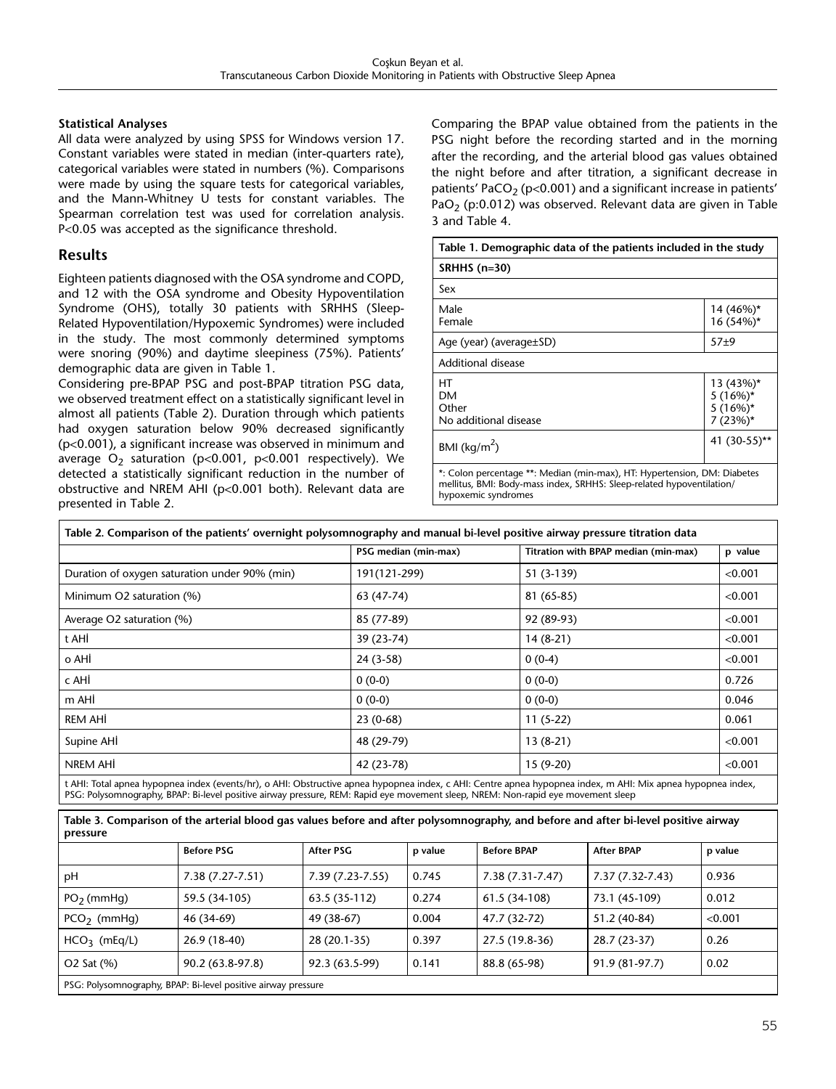### **Statistical Analyses**

All data were analyzed by using SPSS for Windows version 17. Constant variables were stated in median (inter-quarters rate), categorical variables were stated in numbers (%). Comparisons were made by using the square tests for categorical variables, and the Mann-Whitney U tests for constant variables. The Spearman correlation test was used for correlation analysis. P<0.05 was accepted as the significance threshold.

# **Results**

Eighteen patients diagnosed with the OSA syndrome and COPD, and 12 with the OSA syndrome and Obesity Hypoventilation Syndrome (OHS), totally 30 patients with SRHHS (Sleep-Related Hypoventilation/Hypoxemic Syndromes) were included in the study. The most commonly determined symptoms were snoring (90%) and daytime sleepiness (75%). Patients' demographic data are given in Table 1.

Considering pre-BPAP PSG and post-BPAP titration PSG data, we observed treatment effect on a statistically significant level in almost all patients (Table 2). Duration through which patients had oxygen saturation below 90% decreased significantly (p<0.001), a significant increase was observed in minimum and average  $O_2$  saturation (p<0.001, p<0.001 respectively). We detected a statistically significant reduction in the number of obstructive and NREM AHI (p<0.001 both). Relevant data are presented in Table 2.

Comparing the BPAP value obtained from the patients in the PSG night before the recording started and in the morning after the recording, and the arterial blood gas values obtained the night before and after titration, a significant decrease in patients' PaCO<sub>2</sub> (p<0.001) and a significant increase in patients' PaO<sub>2</sub> (p:0.012) was observed. Relevant data are given in Table 3 and Table 4.

| Table 1. Demographic data of the patients included in the study                                                                                                          |                                                    |  |
|--------------------------------------------------------------------------------------------------------------------------------------------------------------------------|----------------------------------------------------|--|
| <b>SRHHS (n=30)</b>                                                                                                                                                      |                                                    |  |
| Sex                                                                                                                                                                      |                                                    |  |
| Male<br>Female                                                                                                                                                           | 14 (46%)*<br>16 (54%)*                             |  |
| Age (year) (average \times SD)                                                                                                                                           | $57+9$                                             |  |
| Additional disease                                                                                                                                                       |                                                    |  |
| нт<br>DМ<br>Other<br>No additional disease                                                                                                                               | 13 (43%)*<br>$5(16\%)*$<br>$5(16\%)*$<br>$7(23%)*$ |  |
| BMI ( $\text{kg/m}^2$ )                                                                                                                                                  | 41 (30-55)**                                       |  |
| *: Colon percentage **: Median (min-max), HT: Hypertension, DM: Diabetes<br>mellitus, BMI: Body-mass index, SRHHS: Sleep-related hypoventilation/<br>hypoxemic syndromes |                                                    |  |

|                                               | PSG median (min-max) | Titration with BPAP median (min-max) | p value |
|-----------------------------------------------|----------------------|--------------------------------------|---------|
| Duration of oxygen saturation under 90% (min) | 191(121-299)         | 51 (3-139)                           | < 0.001 |
| Minimum O2 saturation (%)                     | 63 (47-74)           | 81 (65-85)                           | < 0.001 |
| Average O2 saturation (%)                     | 85 (77-89)           | 92 (89-93)                           | < 0.001 |
| t AHİ                                         | 39 (23-74)           | $14(8-21)$                           | < 0.001 |
| o AHİ                                         | 24 (3-58)            | $0(0-4)$                             | < 0.001 |
| c AHİ                                         | $0(0-0)$             | $0(0-0)$                             | 0.726   |
| m AHİ                                         | $0(0-0)$             | $0(0-0)$                             | 0.046   |
| REM AHİ                                       | $23(0-68)$           | $11(5-22)$                           | 0.061   |
| Supine AHI                                    | 48 (29-79)           | $13(8-21)$                           | < 0.001 |
| NREM AHI                                      | 42 (23-78)           | $15(9-20)$                           | < 0.001 |

| Table 3. Comparison of the arterial blood gas values before and after polysomnography, and before and after bi-level positive airway<br>pressure |                   |                     |         |                     |                   |         |
|--------------------------------------------------------------------------------------------------------------------------------------------------|-------------------|---------------------|---------|---------------------|-------------------|---------|
|                                                                                                                                                  | <b>Before PSG</b> | After PSG           | p value | <b>Before BPAP</b>  | <b>After BPAP</b> | p value |
| рH                                                                                                                                               | $7.38(7.27-7.51)$ | $7.39(7.23 - 7.55)$ | 0.745   | $7.38(7.31 - 7.47)$ | 7.37 (7.32-7.43)  | 0.936   |
| $PO2$ (mmHg)                                                                                                                                     | 59.5 (34-105)     | 63.5 (35-112)       | 0.274   | 61.5 (34-108)       | 73.1 (45-109)     | 0.012   |
| $PCO2$ (mmHq)                                                                                                                                    | 46 (34-69)        | 49 (38-67)          | 0.004   | 47.7 (32-72)        | 51.2 (40-84)      | < 0.001 |
| $HCO3$ (mEq/L)                                                                                                                                   | 26.9 (18-40)      | 28 (20.1-35)        | 0.397   | 27.5 (19.8-36)      | 28.7 (23-37)      | 0.26    |
| O2 Sat (%)                                                                                                                                       | 90.2 (63.8-97.8)  | 92.3 (63.5-99)      | 0.141   | 88.8 (65-98)        | 91.9 (81-97.7)    | 0.02    |
| PSG: Polysomnography, BPAP: Bi-level positive airway pressure                                                                                    |                   |                     |         |                     |                   |         |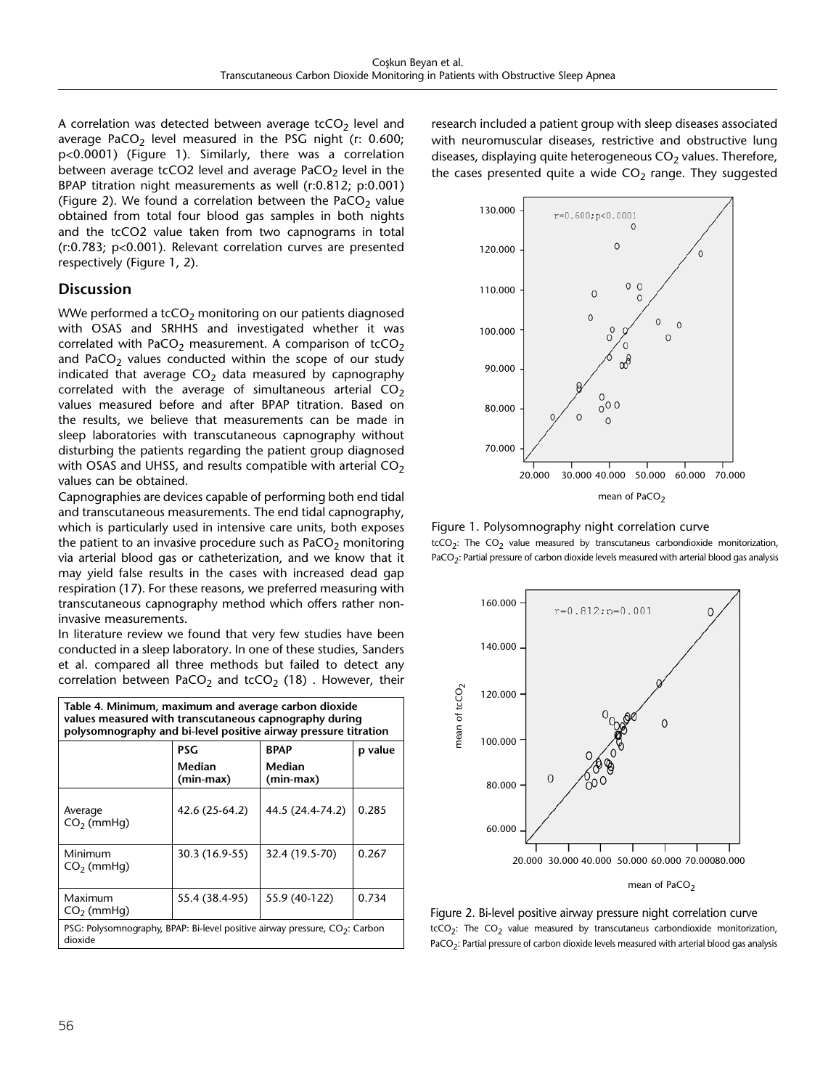A correlation was detected between average  $tcCO<sub>2</sub>$  level and average PaCO<sub>2</sub> level measured in the PSG night (r: 0.600; p<0.0001) (Figure 1). Similarly, there was a correlation between average tcCO2 level and average PaCO<sub>2</sub> level in the BPAP titration night measurements as well (r:0.812; p:0.001) (Figure 2). We found a correlation between the PaCO<sub>2</sub> value obtained from total four blood gas samples in both nights and the tcCO2 value taken from two capnograms in total (r:0.783; p<0.001). Relevant correlation curves are presented respectively (Figure 1, 2).

# **Discussion**

WWe performed a  $t\text{cCO}_2$  monitoring on our patients diagnosed with OSAS and SRHHS and investigated whether it was correlated with PaCO<sub>2</sub> measurement. A comparison of tcCO<sub>2</sub> and PaCO<sub>2</sub> values conducted within the scope of our study indicated that average  $CO<sub>2</sub>$  data measured by capnography correlated with the average of simultaneous arterial  $CO<sub>2</sub>$ values measured before and after BPAP titration. Based on the results, we believe that measurements can be made in sleep laboratories with transcutaneous capnography without disturbing the patients regarding the patient group diagnosed with OSAS and UHSS, and results compatible with arterial  $CO<sub>2</sub>$ values can be obtained.

Capnographies are devices capable of performing both end tidal and transcutaneous measurements. The end tidal capnography, which is particularly used in intensive care units, both exposes the patient to an invasive procedure such as  $PaCO<sub>2</sub>$  monitoring via arterial blood gas or catheterization, and we know that it may yield false results in the cases with increased dead gap respiration (17). For these reasons, we preferred measuring with transcutaneous capnography method which offers rather noninvasive measurements.

In literature review we found that very few studies have been conducted in a sleep laboratory. In one of these studies, Sanders et al. compared all three methods but failed to detect any correlation between PaCO<sub>2</sub> and tcCO<sub>2</sub> (18). However, their

| Table 4. Minimum, maximum and average carbon dioxide<br>values measured with transcutaneous capnography during<br>polysomnography and bi-level positive airway pressure titration |                     |                     |         |  |
|-----------------------------------------------------------------------------------------------------------------------------------------------------------------------------------|---------------------|---------------------|---------|--|
|                                                                                                                                                                                   | PSG                 | <b>BPAP</b>         | p value |  |
|                                                                                                                                                                                   | Median<br>(min-max) | Median<br>(min-max) |         |  |
| Average<br>$CO2$ (mmHq)                                                                                                                                                           | 42.6 (25-64.2)      | 44.5 (24.4-74.2)    | 0.285   |  |
| Minimum<br>$CO2$ (mmHg)                                                                                                                                                           | 30.3 (16.9-55)      | 32.4 (19.5-70)      | 0.267   |  |
| Maximum<br>$CO2$ (mmHg)                                                                                                                                                           | 55.4 (38.4-95)      | 55.9 (40-122)       | 0.734   |  |
| PSG: Polysomnography, BPAP: Bi-level positive airway pressure, $CO2$ : Carbon<br>dioxide                                                                                          |                     |                     |         |  |

research included a patient group with sleep diseases associated with neuromuscular diseases, restrictive and obstructive lung diseases, displaying quite heterogeneous  $CO<sub>2</sub>$  values. Therefore, the cases presented quite a wide  $CO<sub>2</sub>$  range. They suggested



Figure 1. Polysomnography night correlation curve  $tcCO<sub>2</sub>$ : The  $CO<sub>2</sub>$  value measured by transcutaneus carbondioxide monitorization, PaCO<sub>2</sub>: Partial pressure of carbon dioxide levels measured with arterial blood gas analysis



Figure 2. Bi-level positive airway pressure night correlation curve  $tcCO<sub>2</sub>$ : The  $CO<sub>2</sub>$  value measured by transcutaneus carbondioxide monitorization, PaCO<sub>2</sub>: Partial pressure of carbon dioxide levels measured with arterial blood gas analysis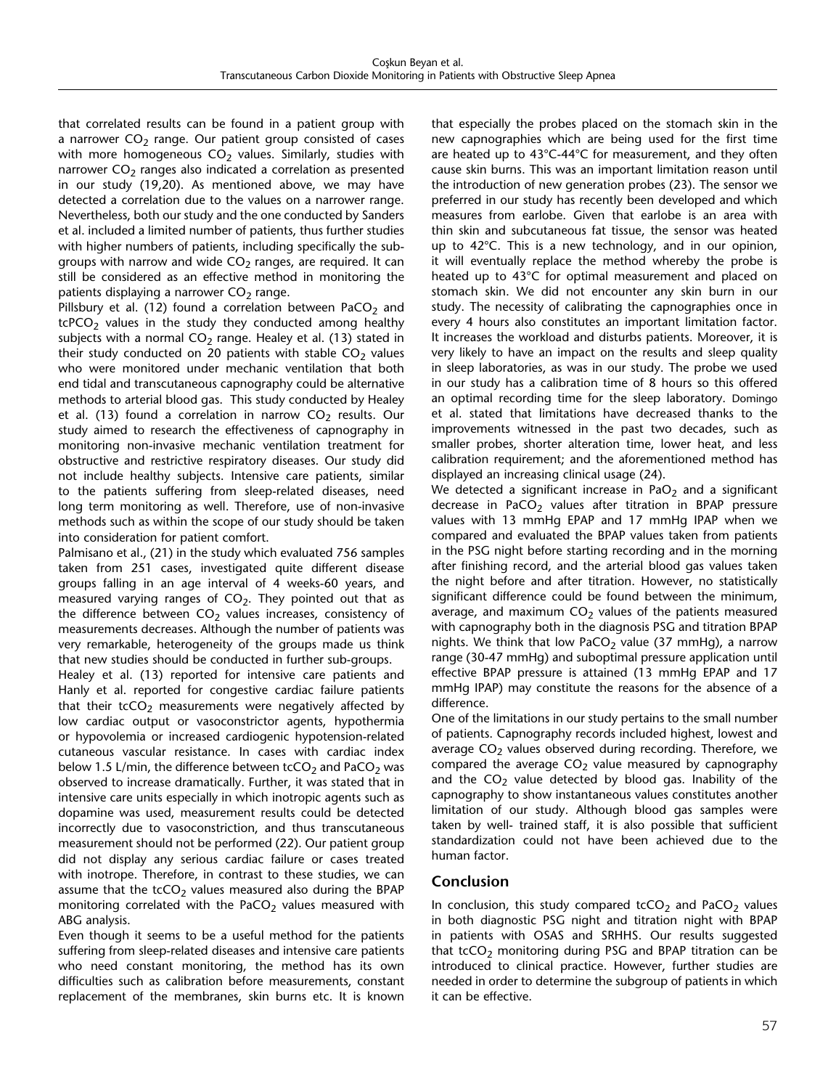that correlated results can be found in a patient group with a narrower  $CO<sub>2</sub>$  range. Our patient group consisted of cases with more homogeneous  $CO<sub>2</sub>$  values. Similarly, studies with narrower  $CO<sub>2</sub>$  ranges also indicated a correlation as presented in our study (19,20). As mentioned above, we may have detected a correlation due to the values on a narrower range. Nevertheless, both our study and the one conducted by Sanders et al. included a limited number of patients, thus further studies with higher numbers of patients, including specifically the subgroups with narrow and wide  $CO<sub>2</sub>$  ranges, are required. It can still be considered as an effective method in monitoring the patients displaying a narrower  $CO<sub>2</sub>$  range.

Pillsbury et al. (12) found a correlation between PaCO<sub>2</sub> and  $tcPCO<sub>2</sub>$  values in the study they conducted among healthy subjects with a normal  $CO<sub>2</sub>$  range. Healey et al. (13) stated in their study conducted on 20 patients with stable  $CO<sub>2</sub>$  values who were monitored under mechanic ventilation that both end tidal and transcutaneous capnography could be alternative methods to arterial blood gas. This study conducted by Healey et al. (13) found a correlation in narrow  $CO<sub>2</sub>$  results. Our study aimed to research the effectiveness of capnography in monitoring non-invasive mechanic ventilation treatment for obstructive and restrictive respiratory diseases. Our study did not include healthy subjects. Intensive care patients, similar to the patients suffering from sleep-related diseases, need long term monitoring as well. Therefore, use of non-invasive methods such as within the scope of our study should be taken into consideration for patient comfort.

Palmisano et al., (21) in the study which evaluated 756 samples taken from 251 cases, investigated quite different disease groups falling in an age interval of 4 weeks-60 years, and measured varying ranges of  $CO<sub>2</sub>$ . They pointed out that as the difference between  $CO<sub>2</sub>$  values increases, consistency of measurements decreases. Although the number of patients was very remarkable, heterogeneity of the groups made us think that new studies should be conducted in further sub-groups.

Healey et al. (13) reported for intensive care patients and Hanly et al. reported for congestive cardiac failure patients that their tcCO<sub>2</sub> measurements were negatively affected by low cardiac output or vasoconstrictor agents, hypothermia or hypovolemia or increased cardiogenic hypotension-related cutaneous vascular resistance. In cases with cardiac index below 1.5 L/min, the difference between tcCO<sub>2</sub> and PaCO<sub>2</sub> was observed to increase dramatically. Further, it was stated that in intensive care units especially in which inotropic agents such as dopamine was used, measurement results could be detected incorrectly due to vasoconstriction, and thus transcutaneous measurement should not be performed (22). Our patient group did not display any serious cardiac failure or cases treated with inotrope. Therefore, in contrast to these studies, we can assume that the  $tcCO<sub>2</sub>$  values measured also during the BPAP monitoring correlated with the PaCO<sub>2</sub> values measured with ABG analysis.

Even though it seems to be a useful method for the patients suffering from sleep-related diseases and intensive care patients who need constant monitoring, the method has its own difficulties such as calibration before measurements, constant replacement of the membranes, skin burns etc. It is known

that especially the probes placed on the stomach skin in the new capnographies which are being used for the first time are heated up to 43°C-44°C for measurement, and they often cause skin burns. This was an important limitation reason until the introduction of new generation probes (23). The sensor we preferred in our study has recently been developed and which measures from earlobe. Given that earlobe is an area with thin skin and subcutaneous fat tissue, the sensor was heated up to 42°C. This is a new technology, and in our opinion, it will eventually replace the method whereby the probe is heated up to 43°C for optimal measurement and placed on stomach skin. We did not encounter any skin burn in our study. The necessity of calibrating the capnographies once in every 4 hours also constitutes an important limitation factor. It increases the workload and disturbs patients. Moreover, it is very likely to have an impact on the results and sleep quality in sleep laboratories, as was in our study. The probe we used in our study has a calibration time of 8 hours so this offered an optimal recording time for the sleep laboratory. Domingo et al. stated that limitations have decreased thanks to the improvements witnessed in the past two decades, such as smaller probes, shorter alteration time, lower heat, and less calibration requirement; and the aforementioned method has displayed an increasing clinical usage (24).

We detected a significant increase in PaO<sub>2</sub> and a significant decrease in PaCO<sub>2</sub> values after titration in BPAP pressure values with 13 mmHg EPAP and 17 mmHg IPAP when we compared and evaluated the BPAP values taken from patients in the PSG night before starting recording and in the morning after finishing record, and the arterial blood gas values taken the night before and after titration. However, no statistically significant difference could be found between the minimum, average, and maximum  $CO<sub>2</sub>$  values of the patients measured with capnography both in the diagnosis PSG and titration BPAP nights. We think that low PaCO<sub>2</sub> value (37 mmHg), a narrow range (30-47 mmHg) and suboptimal pressure application until effective BPAP pressure is attained (13 mmHg EPAP and 17 mmHg IPAP) may constitute the reasons for the absence of a difference.

One of the limitations in our study pertains to the small number of patients. Capnography records included highest, lowest and average  $CO<sub>2</sub>$  values observed during recording. Therefore, we compared the average  $CO<sub>2</sub>$  value measured by capnography and the  $CO<sub>2</sub>$  value detected by blood gas. Inability of the capnography to show instantaneous values constitutes another limitation of our study. Although blood gas samples were taken by well- trained staff, it is also possible that sufficient standardization could not have been achieved due to the human factor.

# **Conclusion**

In conclusion, this study compared tcCO<sub>2</sub> and PaCO<sub>2</sub> values in both diagnostic PSG night and titration night with BPAP in patients with OSAS and SRHHS. Our results suggested that tcCO<sub>2</sub> monitoring during PSG and BPAP titration can be introduced to clinical practice. However, further studies are needed in order to determine the subgroup of patients in which it can be effective.